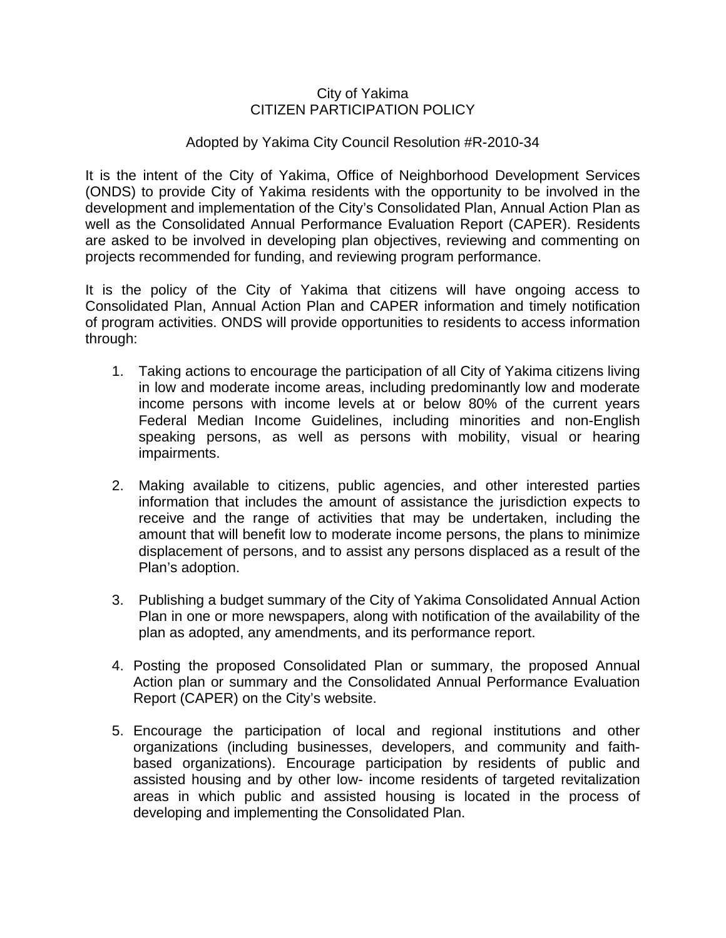### City of Yakima CITIZEN PARTICIPATION POLICY

### Adopted by Yakima City Council Resolution #R-2010-34

It is the intent of the City of Yakima, Office of Neighborhood Development Services (ONDS) to provide City of Yakima residents with the opportunity to be involved in the development and implementation of the City's Consolidated Plan, Annual Action Plan as well as the Consolidated Annual Performance Evaluation Report (CAPER). Residents are asked to be involved in developing plan objectives, reviewing and commenting on projects recommended for funding, and reviewing program performance.

It is the policy of the City of Yakima that citizens will have ongoing access to Consolidated Plan, Annual Action Plan and CAPER information and timely notification of program activities. ONDS will provide opportunities to residents to access information through:

- 1. Taking actions to encourage the participation of all City of Yakima citizens living in low and moderate income areas, including predominantly low and moderate income persons with income levels at or below 80% of the current years Federal Median Income Guidelines, including minorities and non-English speaking persons, as well as persons with mobility, visual or hearing impairments.
- 2. Making available to citizens, public agencies, and other interested parties information that includes the amount of assistance the jurisdiction expects to receive and the range of activities that may be undertaken, including the amount that will benefit low to moderate income persons, the plans to minimize displacement of persons, and to assist any persons displaced as a result of the Plan's adoption.
- 3. Publishing a budget summary of the City of Yakima Consolidated Annual Action Plan in one or more newspapers, along with notification of the availability of the plan as adopted, any amendments, and its performance report.
- 4. Posting the proposed Consolidated Plan or summary, the proposed Annual Action plan or summary and the Consolidated Annual Performance Evaluation Report (CAPER) on the City's website.
- 5. Encourage the participation of local and regional institutions and other organizations (including businesses, developers, and community and faithbased organizations). Encourage participation by residents of public and assisted housing and by other low- income residents of targeted revitalization areas in which public and assisted housing is located in the process of developing and implementing the Consolidated Plan.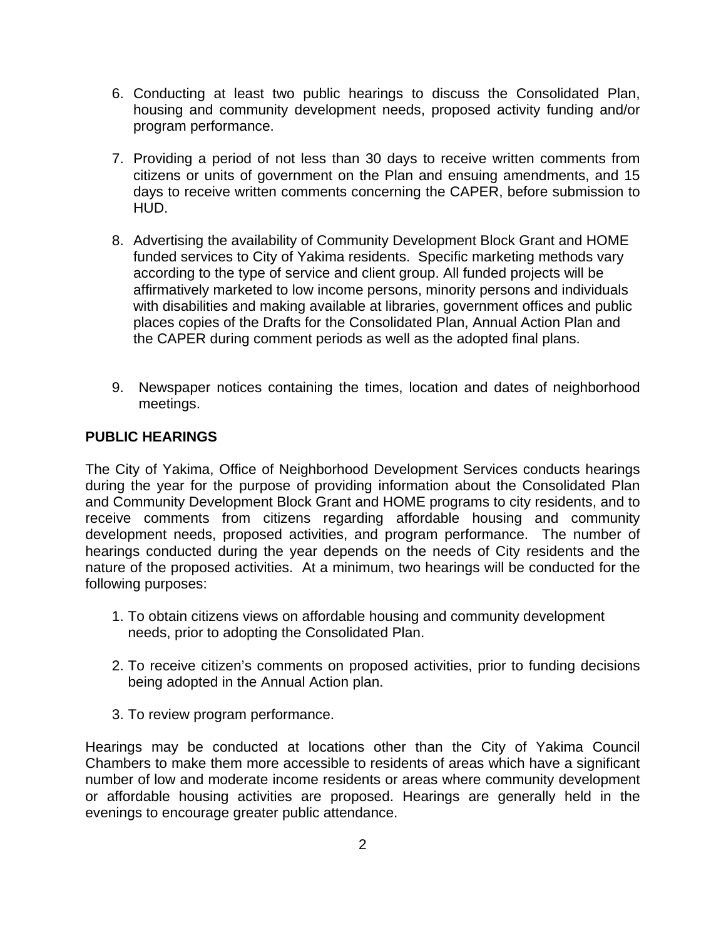- 6. Conducting at least two public hearings to discuss the Consolidated Plan, housing and community development needs, proposed activity funding and/or program performance.
- 7. Providing a period of not less than 30 days to receive written comments from citizens or units of government on the Plan and ensuing amendments, and 15 days to receive written comments concerning the CAPER, before submission to HUD.
- 8. Advertising the availability of Community Development Block Grant and HOME funded services to City of Yakima residents. Specific marketing methods vary according to the type of service and client group. All funded projects will be affirmatively marketed to low income persons, minority persons and individuals with disabilities and making available at libraries, government offices and public places copies of the Drafts for the Consolidated Plan, Annual Action Plan and the CAPER during comment periods as well as the adopted final plans.
- 9. Newspaper notices containing the times, location and dates of neighborhood meetings.

# **PUBLIC HEARINGS**

The City of Yakima, Office of Neighborhood Development Services conducts hearings during the year for the purpose of providing information about the Consolidated Plan and Community Development Block Grant and HOME programs to city residents, and to receive comments from citizens regarding affordable housing and community development needs, proposed activities, and program performance. The number of hearings conducted during the year depends on the needs of City residents and the nature of the proposed activities. At a minimum, two hearings will be conducted for the following purposes:

- 1. To obtain citizens views on affordable housing and community development needs, prior to adopting the Consolidated Plan.
- 2. To receive citizen's comments on proposed activities, prior to funding decisions being adopted in the Annual Action plan.
- 3. To review program performance.

Hearings may be conducted at locations other than the City of Yakima Council Chambers to make them more accessible to residents of areas which have a significant number of low and moderate income residents or areas where community development or affordable housing activities are proposed. Hearings are generally held in the evenings to encourage greater public attendance.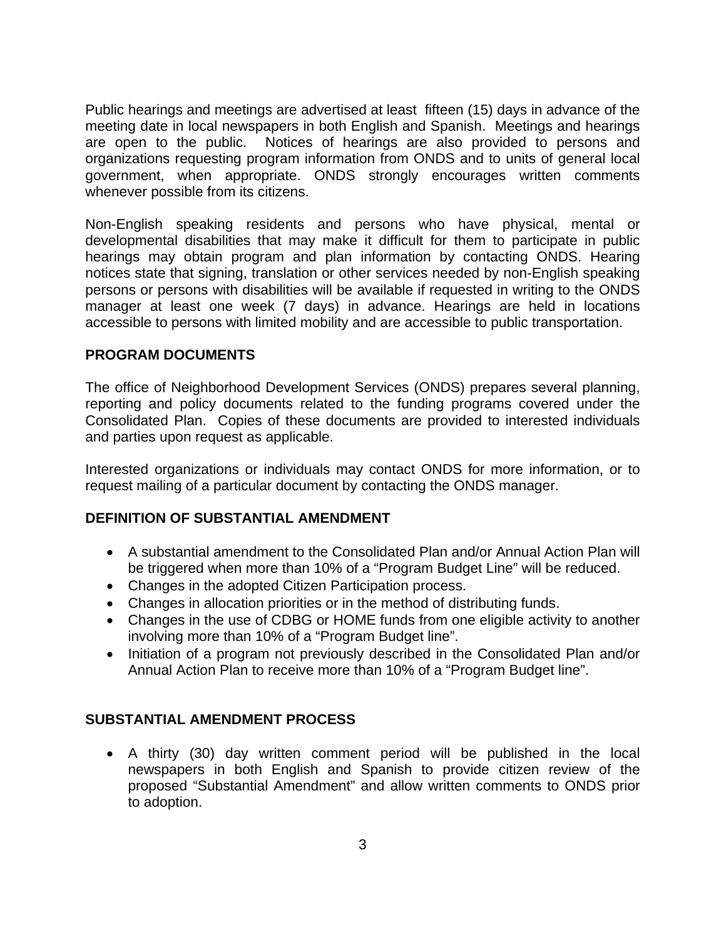Public hearings and meetings are advertised at least fifteen (15) days in advance of the meeting date in local newspapers in both English and Spanish. Meetings and hearings are open to the public. Notices of hearings are also provided to persons and organizations requesting program information from ONDS and to units of general local government, when appropriate. ONDS strongly encourages written comments whenever possible from its citizens.

Non-English speaking residents and persons who have physical, mental or developmental disabilities that may make it difficult for them to participate in public hearings may obtain program and plan information by contacting ONDS. Hearing notices state that signing, translation or other services needed by non-English speaking persons or persons with disabilities will be available if requested in writing to the ONDS manager at least one week (7 days) in advance. Hearings are held in locations accessible to persons with limited mobility and are accessible to public transportation.

### **PROGRAM DOCUMENTS**

The office of Neighborhood Development Services (ONDS) prepares several planning, reporting and policy documents related to the funding programs covered under the Consolidated Plan. Copies of these documents are provided to interested individuals and parties upon request as applicable.

Interested organizations or individuals may contact ONDS for more information, or to request mailing of a particular document by contacting the ONDS manager.

#### **DEFINITION OF SUBSTANTIAL AMENDMENT**

- A substantial amendment to the Consolidated Plan and/or Annual Action Plan will be triggered when more than 10% of a "Program Budget Line" will be reduced.
- Changes in the adopted Citizen Participation process.
- Changes in allocation priorities or in the method of distributing funds.
- Changes in the use of CDBG or HOME funds from one eligible activity to another involving more than 10% of a "Program Budget line".
- Initiation of a program not previously described in the Consolidated Plan and/or Annual Action Plan to receive more than 10% of a "Program Budget line".

## **SUBSTANTIAL AMENDMENT PROCESS**

• A thirty (30) day written comment period will be published in the local newspapers in both English and Spanish to provide citizen review of the proposed "Substantial Amendment" and allow written comments to ONDS prior to adoption.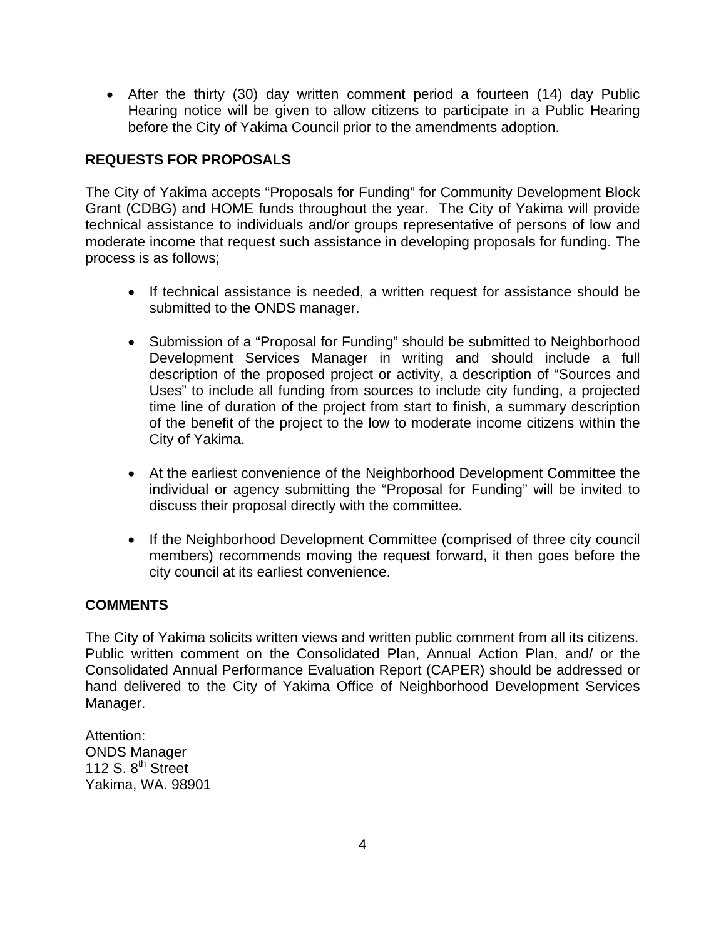• After the thirty (30) day written comment period a fourteen (14) day Public Hearing notice will be given to allow citizens to participate in a Public Hearing before the City of Yakima Council prior to the amendments adoption.

# **REQUESTS FOR PROPOSALS**

The City of Yakima accepts "Proposals for Funding" for Community Development Block Grant (CDBG) and HOME funds throughout the year. The City of Yakima will provide technical assistance to individuals and/or groups representative of persons of low and moderate income that request such assistance in developing proposals for funding. The process is as follows;

- If technical assistance is needed, a written request for assistance should be submitted to the ONDS manager.
- Submission of a "Proposal for Funding" should be submitted to Neighborhood Development Services Manager in writing and should include a full description of the proposed project or activity, a description of "Sources and Uses" to include all funding from sources to include city funding, a projected time line of duration of the project from start to finish, a summary description of the benefit of the project to the low to moderate income citizens within the City of Yakima.
- At the earliest convenience of the Neighborhood Development Committee the individual or agency submitting the "Proposal for Funding" will be invited to discuss their proposal directly with the committee.
- If the Neighborhood Development Committee (comprised of three city council members) recommends moving the request forward, it then goes before the city council at its earliest convenience.

# **COMMENTS**

The City of Yakima solicits written views and written public comment from all its citizens. Public written comment on the Consolidated Plan, Annual Action Plan, and/ or the Consolidated Annual Performance Evaluation Report (CAPER) should be addressed or hand delivered to the City of Yakima Office of Neighborhood Development Services Manager.

Attention: ONDS Manager 112 S.  $8<sup>th</sup>$  Street Yakima, WA. 98901